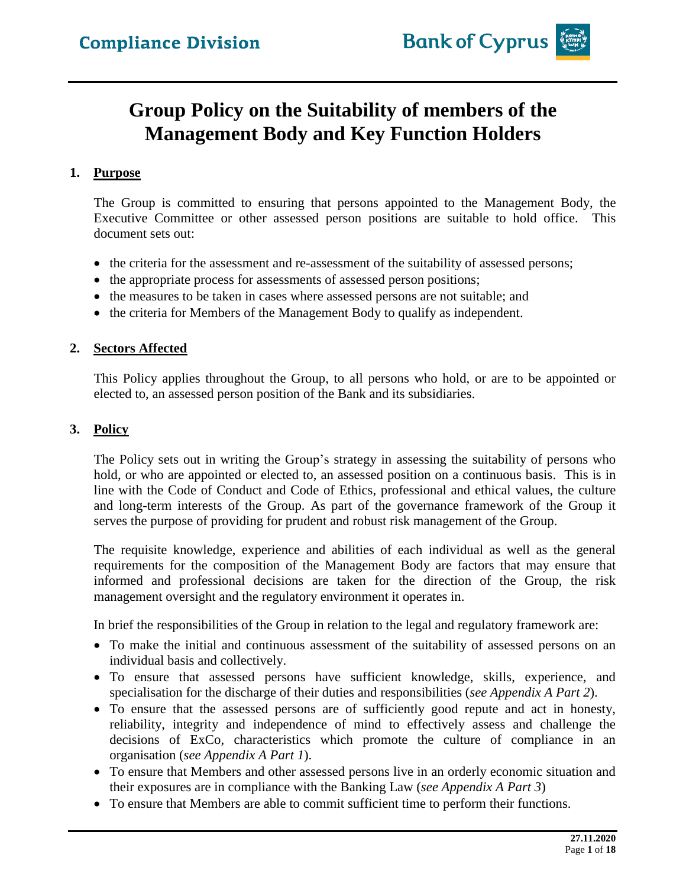## **Group Policy on the Suitability of members of the Management Body and Key Function Holders**

## **1. Purpose**

The Group is committed to ensuring that persons appointed to the Management Body, the Executive Committee or other assessed person positions are suitable to hold office. This document sets out:

- the criteria for the assessment and re-assessment of the suitability of assessed persons;
- the appropriate process for assessments of assessed person positions;
- the measures to be taken in cases where assessed persons are not suitable; and
- the criteria for Members of the Management Body to qualify as independent.

## **2. Sectors Affected**

This Policy applies throughout the Group, to all persons who hold, or are to be appointed or elected to, an assessed person position of the Bank and its subsidiaries.

## **3. Policy**

The Policy sets out in writing the Group's strategy in assessing the suitability of persons who hold, or who are appointed or elected to, an assessed position on a continuous basis. This is in line with the Code of Conduct and Code of Ethics, professional and ethical values, the culture and long-term interests of the Group. As part of the governance framework of the Group it serves the purpose of providing for prudent and robust risk management of the Group.

The requisite knowledge, experience and abilities of each individual as well as the general requirements for the composition of the Management Body are factors that may ensure that informed and professional decisions are taken for the direction of the Group, the risk management oversight and the regulatory environment it operates in.

In brief the responsibilities of the Group in relation to the legal and regulatory framework are:

- To make the initial and continuous assessment of the suitability of assessed persons on an individual basis and collectively.
- To ensure that assessed persons have sufficient knowledge, skills, experience, and specialisation for the discharge of their duties and responsibilities (*see Appendix A Part 2*).
- To ensure that the assessed persons are of sufficiently good repute and act in honesty, reliability, integrity and independence of mind to effectively assess and challenge the decisions of ExCo, characteristics which promote the culture of compliance in an organisation (*see Appendix A Part 1*).
- To ensure that Members and other assessed persons live in an orderly economic situation and their exposures are in compliance with the Banking Law (*see Appendix A Part 3*)
- To ensure that Members are able to commit sufficient time to perform their functions.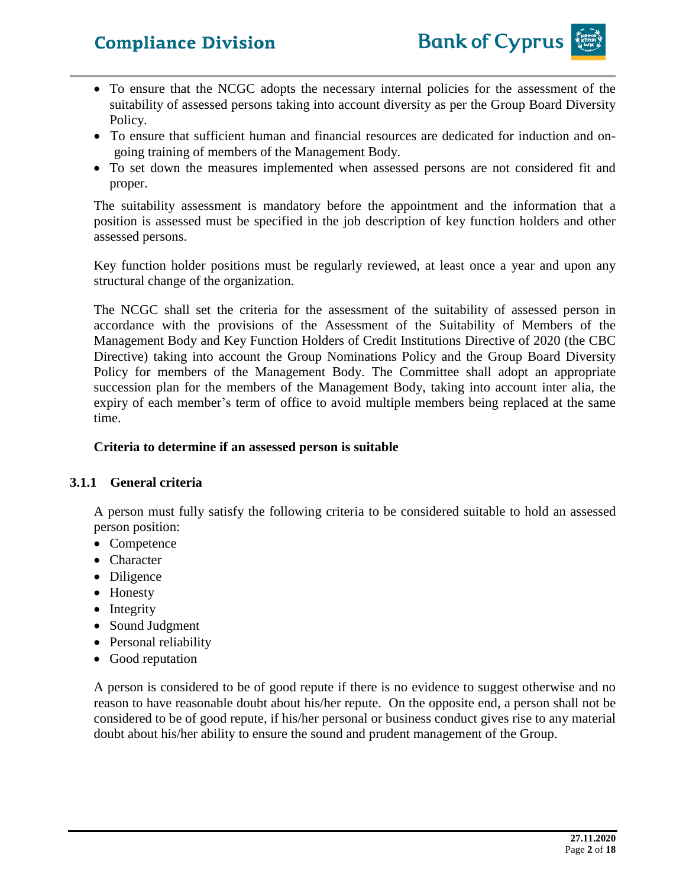

- To ensure that the NCGC adopts the necessary internal policies for the assessment of the suitability of assessed persons taking into account diversity as per the Group Board Diversity Policy.
- To ensure that sufficient human and financial resources are dedicated for induction and ongoing training of members of the Management Body.
- To set down the measures implemented when assessed persons are not considered fit and proper.

The suitability assessment is mandatory before the appointment and the information that a position is assessed must be specified in the job description of key function holders and other assessed persons.

Key function holder positions must be regularly reviewed, at least once a year and upon any structural change of the organization.

The NCGC shall set the criteria for the assessment of the suitability of assessed person in accordance with the provisions of the Assessment of the Suitability of Members of the Management Body and Key Function Holders of Credit Institutions Directive of 2020 (the CBC Directive) taking into account the Group Nominations Policy and the Group Board Diversity Policy for members of the Management Body. The Committee shall adopt an appropriate succession plan for the members of the Management Body, taking into account inter alia, the expiry of each member's term of office to avoid multiple members being replaced at the same time.

### **Criteria to determine if an assessed person is suitable**

## **3.1.1 General criteria**

A person must fully satisfy the following criteria to be considered suitable to hold an assessed person position:

- Competence
- Character
- Diligence
- Honesty
- Integrity
- Sound Judgment
- Personal reliability
- Good reputation

A person is considered to be of good repute if there is no evidence to suggest otherwise and no reason to have reasonable doubt about his/her repute. On the opposite end, a person shall not be considered to be of good repute, if his/her personal or business conduct gives rise to any material doubt about his/her ability to ensure the sound and prudent management of the Group.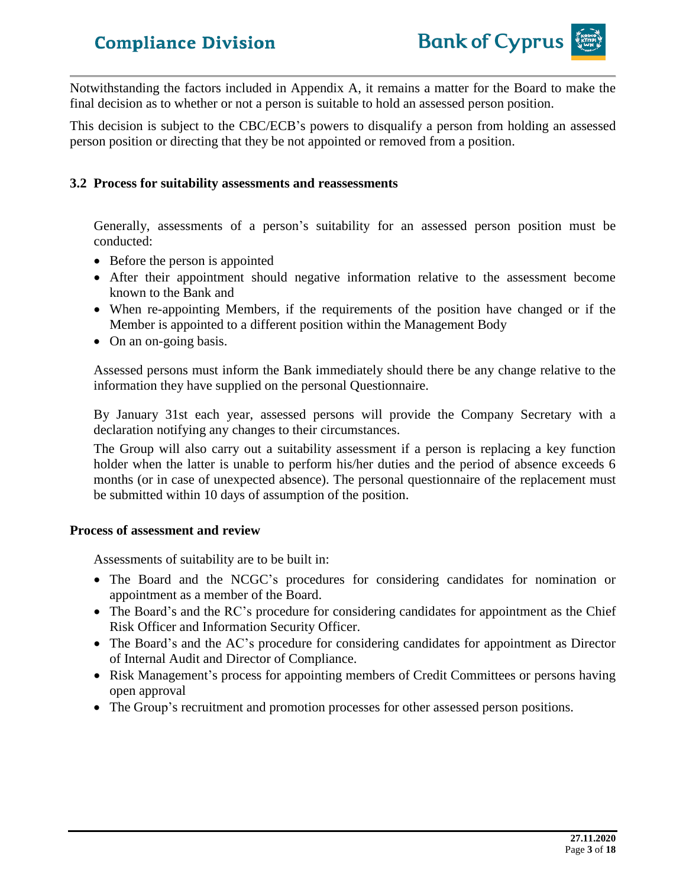

Notwithstanding the factors included in Appendix A, it remains a matter for the Board to make the final decision as to whether or not a person is suitable to hold an assessed person position.

This decision is subject to the CBC/ECB's powers to disqualify a person from holding an assessed person position or directing that they be not appointed or removed from a position.

#### **3.2 Process for suitability assessments and reassessments**

Generally, assessments of a person's suitability for an assessed person position must be conducted:

- Before the person is appointed
- After their appointment should negative information relative to the assessment become known to the Bank and
- When re-appointing Members, if the requirements of the position have changed or if the Member is appointed to a different position within the Management Body
- On an on-going basis.

Assessed persons must inform the Bank immediately should there be any change relative to the information they have supplied on the personal Questionnaire.

By January 31st each year, assessed persons will provide the Company Secretary with a declaration notifying any changes to their circumstances.

The Group will also carry out a suitability assessment if a person is replacing a key function holder when the latter is unable to perform his/her duties and the period of absence exceeds 6 months (or in case of unexpected absence). The personal questionnaire of the replacement must be submitted within 10 days of assumption of the position.

#### **Process of assessment and review**

Assessments of suitability are to be built in:

- The Board and the NCGC's procedures for considering candidates for nomination or appointment as a member of the Board.
- The Board's and the RC's procedure for considering candidates for appointment as the Chief Risk Officer and Information Security Officer.
- The Board's and the AC's procedure for considering candidates for appointment as Director of Internal Audit and Director of Compliance.
- Risk Management's process for appointing members of Credit Committees or persons having open approval
- The Group's recruitment and promotion processes for other assessed person positions.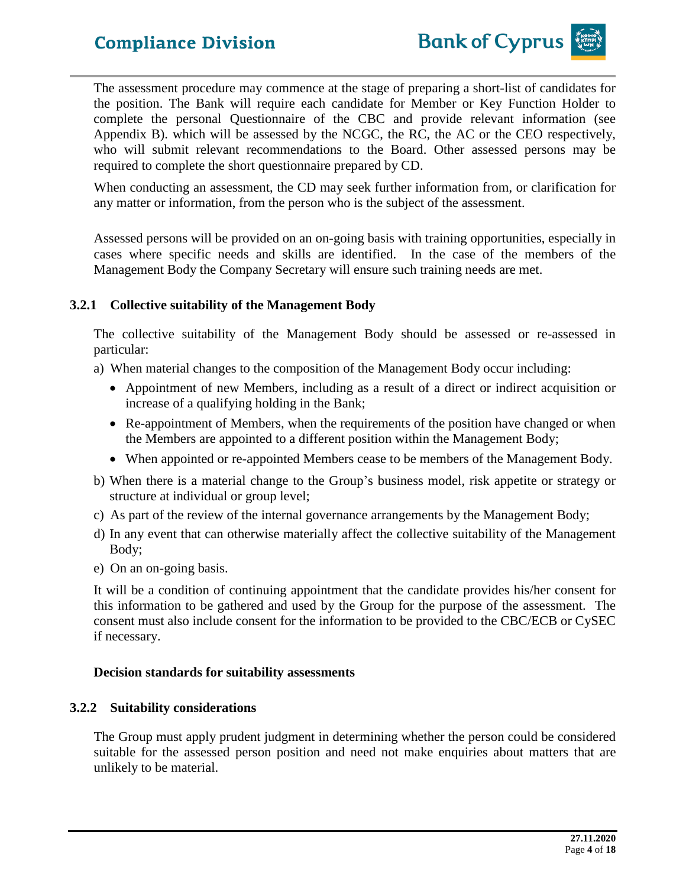

The assessment procedure may commence at the stage of preparing a short-list of candidates for the position. The Bank will require each candidate for Member or Key Function Holder to complete the personal Questionnaire of the CBC and provide relevant information (see Appendix B). which will be assessed by the NCGC, the RC, the AC or the CEO respectively, who will submit relevant recommendations to the Board. Other assessed persons may be required to complete the short questionnaire prepared by CD.

When conducting an assessment, the CD may seek further information from, or clarification for any matter or information, from the person who is the subject of the assessment.

Assessed persons will be provided on an on-going basis with training opportunities, especially in cases where specific needs and skills are identified. In the case of the members of the Management Body the Company Secretary will ensure such training needs are met.

## **3.2.1 Collective suitability of the Management Body**

The collective suitability of the Management Body should be assessed or re-assessed in particular:

- a) When material changes to the composition of the Management Body occur including:
	- Appointment of new Members, including as a result of a direct or indirect acquisition or increase of a qualifying holding in the Bank;
	- Re-appointment of Members, when the requirements of the position have changed or when the Members are appointed to a different position within the Management Body;
	- When appointed or re-appointed Members cease to be members of the Management Body.
- b) When there is a material change to the Group's business model, risk appetite or strategy or structure at individual or group level;
- c) As part of the review of the internal governance arrangements by the Management Body;
- d) In any event that can otherwise materially affect the collective suitability of the Management Body;
- e) On an on-going basis.

It will be a condition of continuing appointment that the candidate provides his/her consent for this information to be gathered and used by the Group for the purpose of the assessment. The consent must also include consent for the information to be provided to the CBC/ECB or CySEC if necessary.

#### **Decision standards for suitability assessments**

## **3.2.2 Suitability considerations**

The Group must apply prudent judgment in determining whether the person could be considered suitable for the assessed person position and need not make enquiries about matters that are unlikely to be material.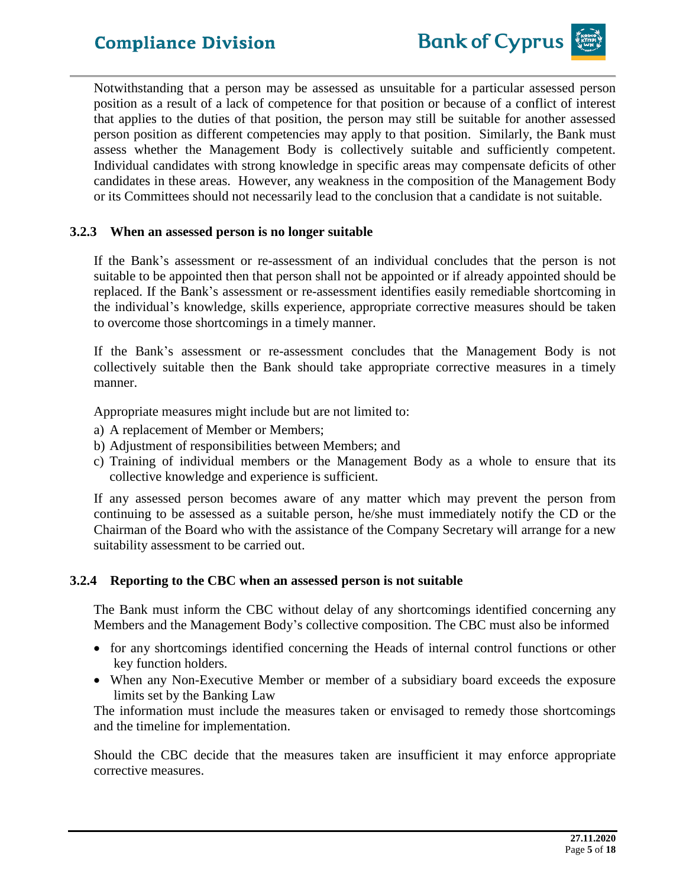

## **3.2.3 When an assessed person is no longer suitable**

If the Bank's assessment or re-assessment of an individual concludes that the person is not suitable to be appointed then that person shall not be appointed or if already appointed should be replaced. If the Bank's assessment or re-assessment identifies easily remediable shortcoming in the individual's knowledge, skills experience, appropriate corrective measures should be taken to overcome those shortcomings in a timely manner.

If the Bank's assessment or re-assessment concludes that the Management Body is not collectively suitable then the Bank should take appropriate corrective measures in a timely manner.

Appropriate measures might include but are not limited to:

- a) A replacement of Member or Members;
- b) Adjustment of responsibilities between Members; and
- c) Training of individual members or the Management Body as a whole to ensure that its collective knowledge and experience is sufficient.

If any assessed person becomes aware of any matter which may prevent the person from continuing to be assessed as a suitable person, he/she must immediately notify the CD or the Chairman of the Board who with the assistance of the Company Secretary will arrange for a new suitability assessment to be carried out.

#### **3.2.4 Reporting to the CBC when an assessed person is not suitable**

The Bank must inform the CBC without delay of any shortcomings identified concerning any Members and the Management Body's collective composition. The CBC must also be informed

- for any shortcomings identified concerning the Heads of internal control functions or other key function holders.
- When any Non-Executive Member or member of a subsidiary board exceeds the exposure limits set by the Banking Law

The information must include the measures taken or envisaged to remedy those shortcomings and the timeline for implementation.

Should the CBC decide that the measures taken are insufficient it may enforce appropriate corrective measures.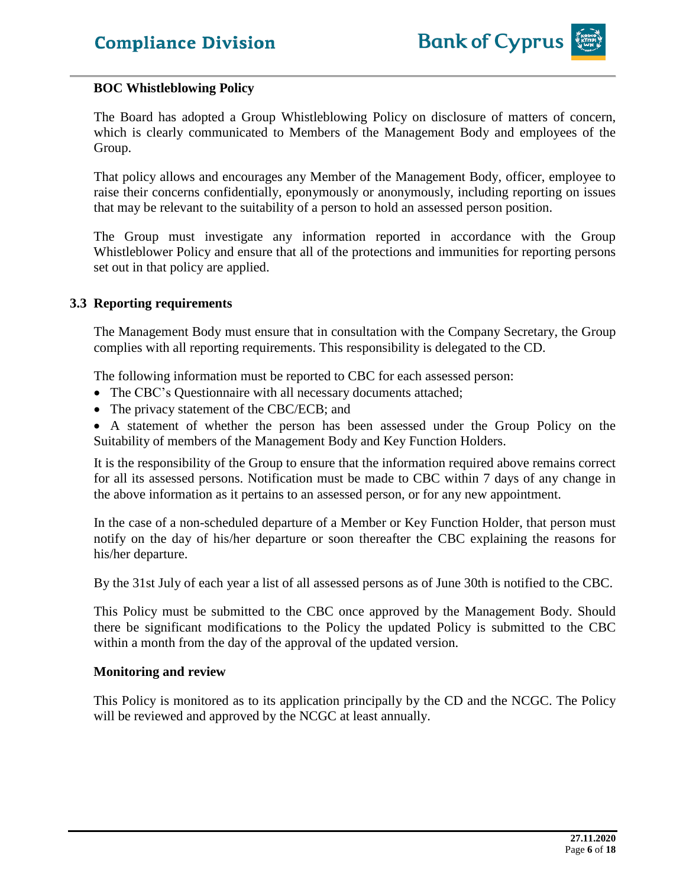

#### **BOC Whistleblowing Policy**

The Board has adopted a Group Whistleblowing Policy on disclosure of matters of concern, which is clearly communicated to Members of the Management Body and employees of the Group.

That policy allows and encourages any Member of the Management Body, officer, employee to raise their concerns confidentially, eponymously or anonymously, including reporting on issues that may be relevant to the suitability of a person to hold an assessed person position.

The Group must investigate any information reported in accordance with the Group Whistleblower Policy and ensure that all of the protections and immunities for reporting persons set out in that policy are applied.

#### **3.3 Reporting requirements**

The Management Body must ensure that in consultation with the Company Secretary, the Group complies with all reporting requirements. This responsibility is delegated to the CD.

The following information must be reported to CBC for each assessed person:

- The CBC's Questionnaire with all necessary documents attached;
- The privacy statement of the CBC/ECB; and

• A statement of whether the person has been assessed under the Group Policy on the Suitability of members of the Management Body and Key Function Holders.

It is the responsibility of the Group to ensure that the information required above remains correct for all its assessed persons. Notification must be made to CBC within 7 days of any change in the above information as it pertains to an assessed person, or for any new appointment.

In the case of a non-scheduled departure of a Member or Key Function Holder, that person must notify on the day of his/her departure or soon thereafter the CBC explaining the reasons for his/her departure.

By the 31st July of each year a list of all assessed persons as of June 30th is notified to the CBC.

This Policy must be submitted to the CBC once approved by the Management Body. Should there be significant modifications to the Policy the updated Policy is submitted to the CBC within a month from the day of the approval of the updated version.

#### **Monitoring and review**

This Policy is monitored as to its application principally by the CD and the NCGC. The Policy will be reviewed and approved by the NCGC at least annually.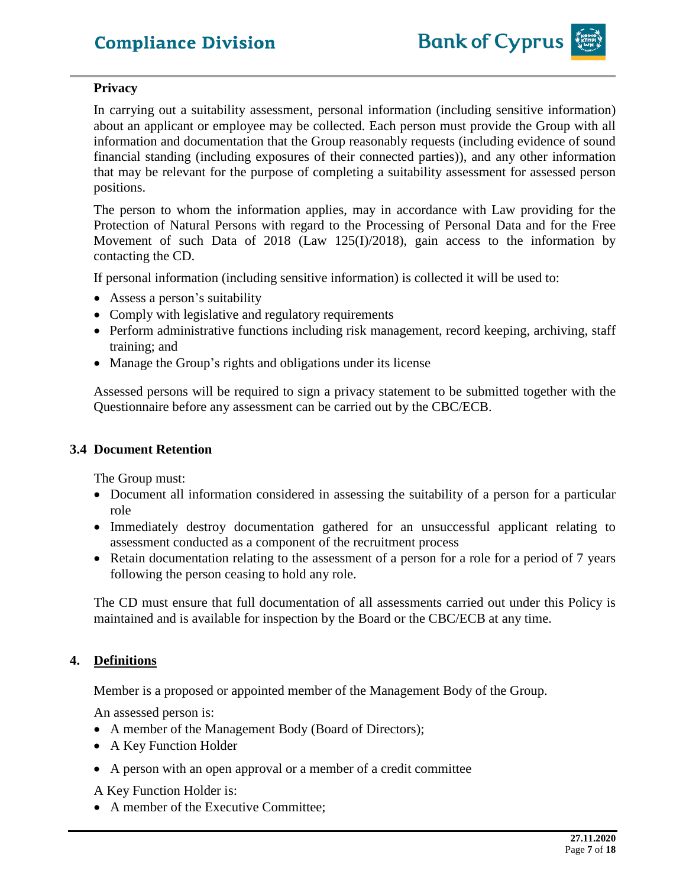## **Privacy**

In carrying out a suitability assessment, personal information (including sensitive information) about an applicant or employee may be collected. Each person must provide the Group with all information and documentation that the Group reasonably requests (including evidence of sound financial standing (including exposures of their connected parties)), and any other information that may be relevant for the purpose of completing a suitability assessment for assessed person positions.

The person to whom the information applies, may in accordance with Law providing for the Protection of Natural Persons with regard to the Processing of Personal Data and for the Free Movement of such Data of 2018 (Law 125(I)/2018), gain access to the information by contacting the CD.

If personal information (including sensitive information) is collected it will be used to:

- Assess a person's suitability
- Comply with legislative and regulatory requirements
- Perform administrative functions including risk management, record keeping, archiving, staff training; and
- Manage the Group's rights and obligations under its license

Assessed persons will be required to sign a privacy statement to be submitted together with the Questionnaire before any assessment can be carried out by the CBC/ECB.

## **3.4 Document Retention**

The Group must:

- Document all information considered in assessing the suitability of a person for a particular role
- Immediately destroy documentation gathered for an unsuccessful applicant relating to assessment conducted as a component of the recruitment process
- Retain documentation relating to the assessment of a person for a role for a period of 7 years following the person ceasing to hold any role.

The CD must ensure that full documentation of all assessments carried out under this Policy is maintained and is available for inspection by the Board or the CBC/ECB at any time.

## **4. Definitions**

Member is a proposed or appointed member of the Management Body of the Group.

An assessed person is:

- A member of the Management Body (Board of Directors);
- A Key Function Holder
- A person with an open approval or a member of a credit committee

A Key Function Holder is:

• A member of the Executive Committee;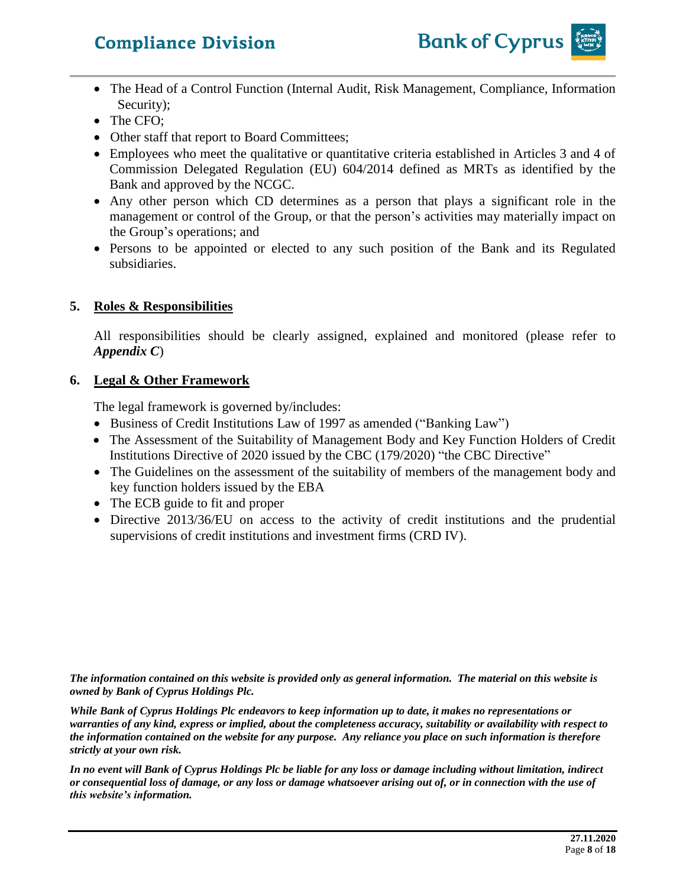

- The Head of a Control Function (Internal Audit, Risk Management, Compliance, Information Security);
- The CFO;
- Other staff that report to Board Committees;
- Employees who meet the qualitative or quantitative criteria established in Articles 3 and 4 of Commission Delegated Regulation (EU) 604/2014 defined as MRTs as identified by the Bank and approved by the NCGC.
- Any other person which CD determines as a person that plays a significant role in the management or control of the Group, or that the person's activities may materially impact on the Group's operations; and
- Persons to be appointed or elected to any such position of the Bank and its Regulated subsidiaries.

## **5. Roles & Responsibilities**

All responsibilities should be clearly assigned, explained and monitored (please refer to *Appendix C*)

## **6. Legal & Other Framework**

The legal framework is governed by/includes:

- Business of Credit Institutions Law of 1997 as amended ("Banking Law")
- The Assessment of the Suitability of Management Body and Key Function Holders of Credit Institutions Directive of 2020 issued by the CBC (179/2020) "the CBC Directive"
- The Guidelines on the assessment of the suitability of members of the management body and key function holders issued by the EBA
- The ECB guide to fit and proper
- Directive 2013/36/EU on access to the activity of credit institutions and the prudential supervisions of credit institutions and investment firms (CRD IV).

*The information contained on this website is provided only as general information. The material on this website is owned by Bank of Cyprus Holdings Plc.*

*While Bank of Cyprus Holdings Plc endeavors to keep information up to date, it makes no representations or warranties of any kind, express or implied, about the completeness accuracy, suitability or availability with respect to the information contained on the website for any purpose. Any reliance you place on such information is therefore strictly at your own risk.* 

*In no event will Bank of Cyprus Holdings Plc be liable for any loss or damage including without limitation, indirect or consequential loss of damage, or any loss or damage whatsoever arising out of, or in connection with the use of this website's information.*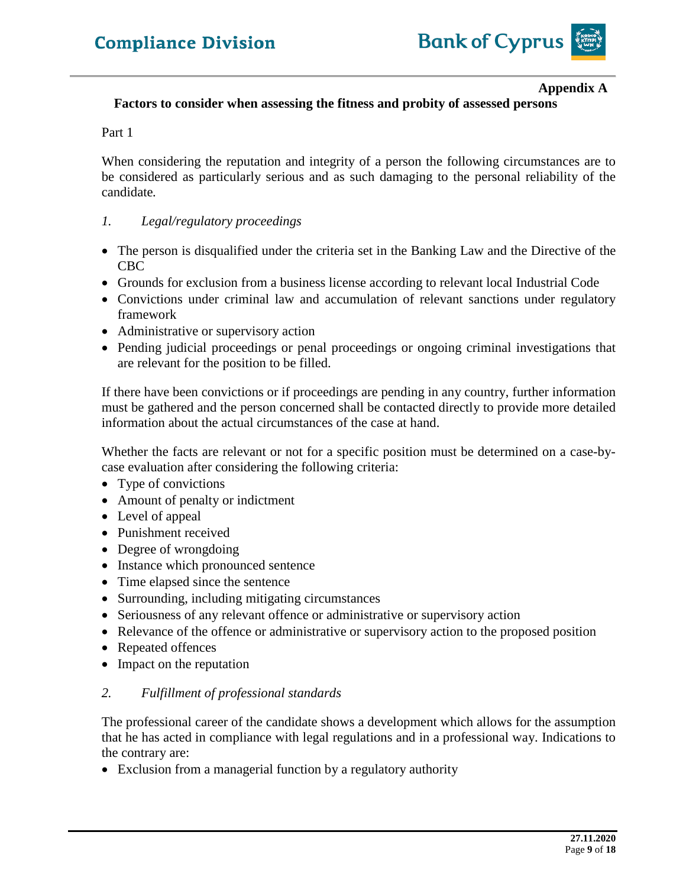

#### **Appendix A**

## **Factors to consider when assessing the fitness and probity of assessed persons**

#### Part 1

When considering the reputation and integrity of a person the following circumstances are to be considered as particularly serious and as such damaging to the personal reliability of the candidate*.*

#### *1. Legal/regulatory proceedings*

- The person is disqualified under the criteria set in the Banking Law and the Directive of the CBC
- Grounds for exclusion from a business license according to relevant local Industrial Code
- Convictions under criminal law and accumulation of relevant sanctions under regulatory framework
- Administrative or supervisory action
- Pending judicial proceedings or penal proceedings or ongoing criminal investigations that are relevant for the position to be filled.

If there have been convictions or if proceedings are pending in any country, further information must be gathered and the person concerned shall be contacted directly to provide more detailed information about the actual circumstances of the case at hand.

Whether the facts are relevant or not for a specific position must be determined on a case-bycase evaluation after considering the following criteria:

- Type of convictions
- Amount of penalty or indictment
- Level of appeal
- Punishment received
- Degree of wrongdoing
- Instance which pronounced sentence
- Time elapsed since the sentence
- Surrounding, including mitigating circumstances
- Seriousness of any relevant offence or administrative or supervisory action
- Relevance of the offence or administrative or supervisory action to the proposed position
- Repeated offences
- Impact on the reputation

#### *2. Fulfillment of professional standards*

The professional career of the candidate shows a development which allows for the assumption that he has acted in compliance with legal regulations and in a professional way. Indications to the contrary are:

• Exclusion from a managerial function by a regulatory authority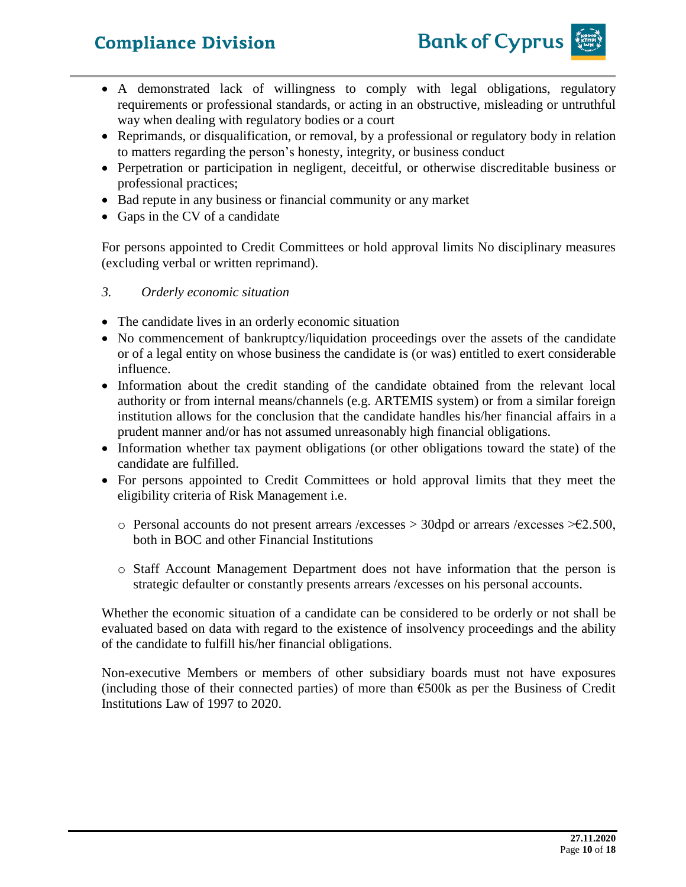

- A demonstrated lack of willingness to comply with legal obligations, regulatory requirements or professional standards, or acting in an obstructive, misleading or untruthful way when dealing with regulatory bodies or a court
- Reprimands, or disqualification, or removal, by a professional or regulatory body in relation to matters regarding the person's honesty, integrity, or business conduct
- Perpetration or participation in negligent, deceitful, or otherwise discreditable business or professional practices;
- Bad repute in any business or financial community or any market
- Gaps in the CV of a candidate

For persons appointed to Credit Committees or hold approval limits No disciplinary measures (excluding verbal or written reprimand).

## *3. Orderly economic situation*

- The candidate lives in an orderly economic situation
- No commencement of bankruptcy/liquidation proceedings over the assets of the candidate or of a legal entity on whose business the candidate is (or was) entitled to exert considerable influence.
- Information about the credit standing of the candidate obtained from the relevant local authority or from internal means/channels (e.g. ARTEMIS system) or from a similar foreign institution allows for the conclusion that the candidate handles his/her financial affairs in a prudent manner and/or has not assumed unreasonably high financial obligations.
- Information whether tax payment obligations (or other obligations toward the state) of the candidate are fulfilled.
- For persons appointed to Credit Committees or hold approval limits that they meet the eligibility criteria of Risk Management i.e.
	- o Personal accounts do not present arrears /excesses > 30dpd or arrears /excesses  $\geq 2.500$ , both in BOC and other Financial Institutions
	- o Staff Account Management Department does not have information that the person is strategic defaulter or constantly presents arrears /excesses on his personal accounts.

Whether the economic situation of a candidate can be considered to be orderly or not shall be evaluated based on data with regard to the existence of insolvency proceedings and the ability of the candidate to fulfill his/her financial obligations.

Non-executive Members or members of other subsidiary boards must not have exposures (including those of their connected parties) of more than  $\epsilon$ 500k as per the Business of Credit Institutions Law of 1997 to 2020.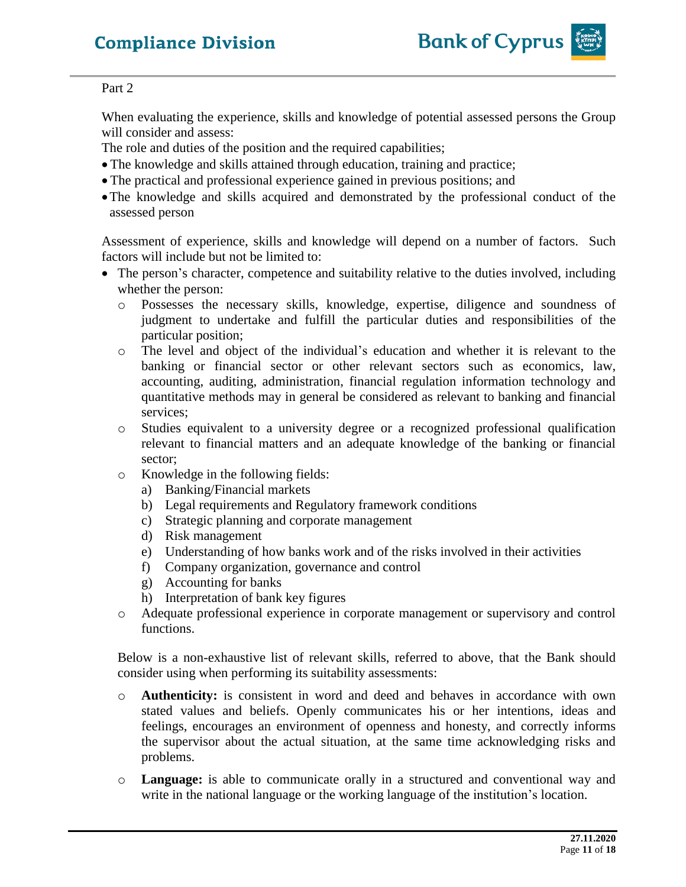

#### Part 2

When evaluating the experience, skills and knowledge of potential assessed persons the Group will consider and assess:

The role and duties of the position and the required capabilities;

- The knowledge and skills attained through education, training and practice;
- The practical and professional experience gained in previous positions; and
- •The knowledge and skills acquired and demonstrated by the professional conduct of the assessed person

Assessment of experience, skills and knowledge will depend on a number of factors. Such factors will include but not be limited to:

- The person's character, competence and suitability relative to the duties involved, including whether the person:
	- o Possesses the necessary skills, knowledge, expertise, diligence and soundness of judgment to undertake and fulfill the particular duties and responsibilities of the particular position;
	- o The level and object of the individual's education and whether it is relevant to the banking or financial sector or other relevant sectors such as economics, law, accounting, auditing, administration, financial regulation information technology and quantitative methods may in general be considered as relevant to banking and financial services;
	- o Studies equivalent to a university degree or a recognized professional qualification relevant to financial matters and an adequate knowledge of the banking or financial sector;
	- o Knowledge in the following fields:
		- a) Banking/Financial markets
		- b) Legal requirements and Regulatory framework conditions
		- c) Strategic planning and corporate management
		- d) Risk management
		- e) Understanding of how banks work and of the risks involved in their activities
		- f) Company organization, governance and control
		- g) Accounting for banks
		- h) Interpretation of bank key figures
	- o Adequate professional experience in corporate management or supervisory and control functions.

Below is a non-exhaustive list of relevant skills, referred to above, that the Bank should consider using when performing its suitability assessments:

- o **Authenticity:** is consistent in word and deed and behaves in accordance with own stated values and beliefs. Openly communicates his or her intentions, ideas and feelings, encourages an environment of openness and honesty, and correctly informs the supervisor about the actual situation, at the same time acknowledging risks and problems.
- o **Language:** is able to communicate orally in a structured and conventional way and write in the national language or the working language of the institution's location.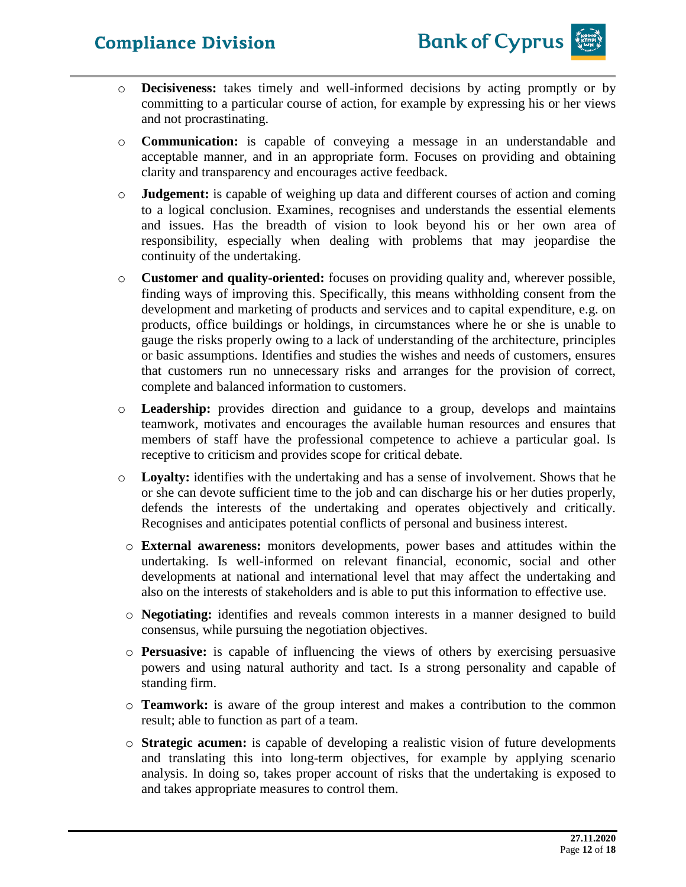

- o **Decisiveness:** takes timely and well-informed decisions by acting promptly or by committing to a particular course of action, for example by expressing his or her views and not procrastinating.
- o **Communication:** is capable of conveying a message in an understandable and acceptable manner, and in an appropriate form. Focuses on providing and obtaining clarity and transparency and encourages active feedback.
- o **Judgement:** is capable of weighing up data and different courses of action and coming to a logical conclusion. Examines, recognises and understands the essential elements and issues. Has the breadth of vision to look beyond his or her own area of responsibility, especially when dealing with problems that may jeopardise the continuity of the undertaking.
- o **Customer and quality-oriented:** focuses on providing quality and, wherever possible, finding ways of improving this. Specifically, this means withholding consent from the development and marketing of products and services and to capital expenditure, e.g. on products, office buildings or holdings, in circumstances where he or she is unable to gauge the risks properly owing to a lack of understanding of the architecture, principles or basic assumptions. Identifies and studies the wishes and needs of customers, ensures that customers run no unnecessary risks and arranges for the provision of correct, complete and balanced information to customers.
- o **Leadership:** provides direction and guidance to a group, develops and maintains teamwork, motivates and encourages the available human resources and ensures that members of staff have the professional competence to achieve a particular goal. Is receptive to criticism and provides scope for critical debate.
- o **Loyalty:** identifies with the undertaking and has a sense of involvement. Shows that he or she can devote sufficient time to the job and can discharge his or her duties properly, defends the interests of the undertaking and operates objectively and critically. Recognises and anticipates potential conflicts of personal and business interest.
	- o **External awareness:** monitors developments, power bases and attitudes within the undertaking. Is well-informed on relevant financial, economic, social and other developments at national and international level that may affect the undertaking and also on the interests of stakeholders and is able to put this information to effective use.
	- o **Negotiating:** identifies and reveals common interests in a manner designed to build consensus, while pursuing the negotiation objectives.
	- o **Persuasive:** is capable of influencing the views of others by exercising persuasive powers and using natural authority and tact. Is a strong personality and capable of standing firm.
	- o **Teamwork:** is aware of the group interest and makes a contribution to the common result; able to function as part of a team.
	- o **Strategic acumen:** is capable of developing a realistic vision of future developments and translating this into long-term objectives, for example by applying scenario analysis. In doing so, takes proper account of risks that the undertaking is exposed to and takes appropriate measures to control them.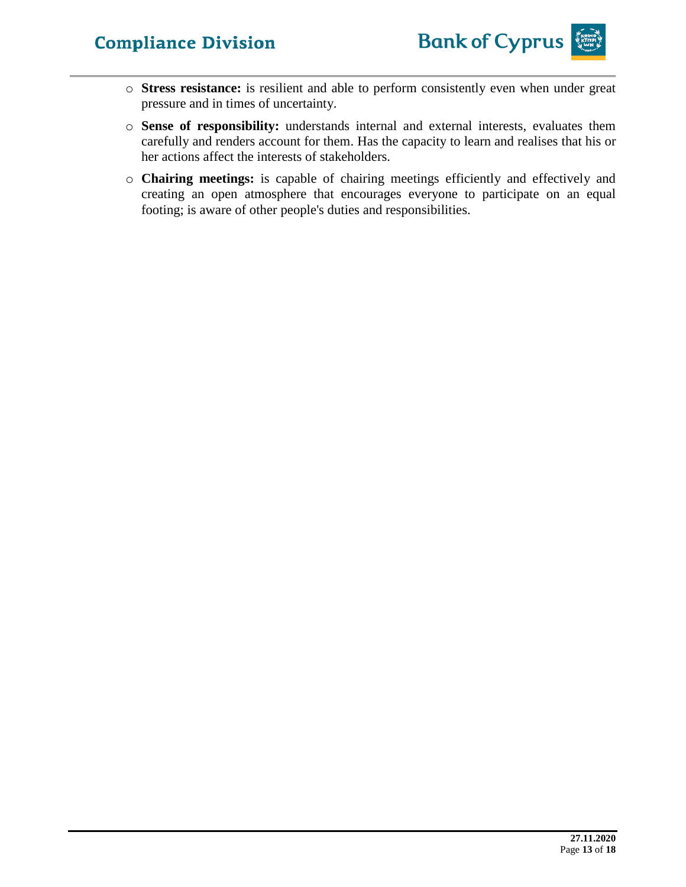

- o **Stress resistance:** is resilient and able to perform consistently even when under great pressure and in times of uncertainty.
- o **Sense of responsibility:** understands internal and external interests, evaluates them carefully and renders account for them. Has the capacity to learn and realises that his or her actions affect the interests of stakeholders.
- o **Chairing meetings:** is capable of chairing meetings efficiently and effectively and creating an open atmosphere that encourages everyone to participate on an equal footing; is aware of other people's duties and responsibilities.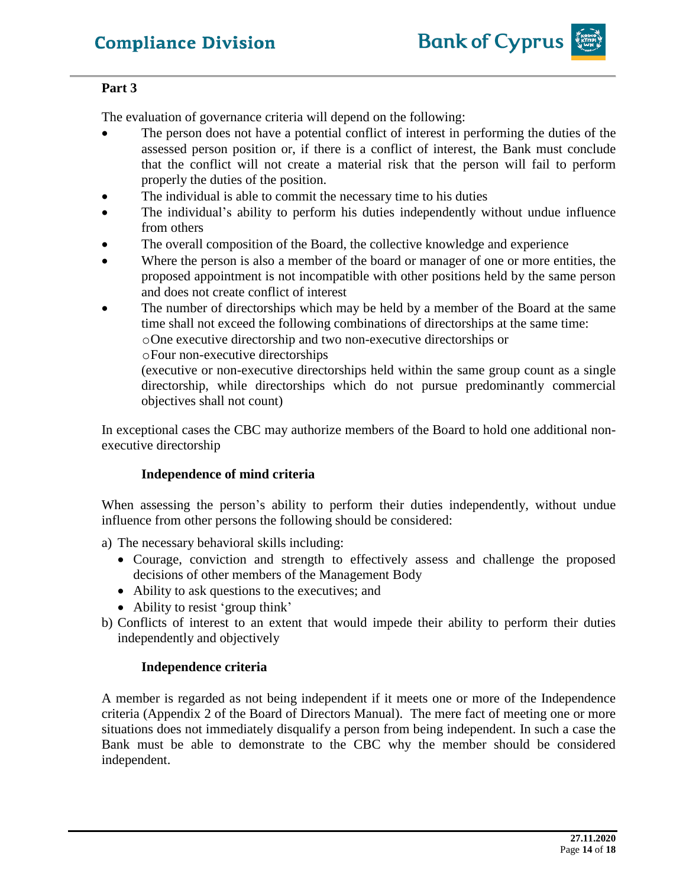

## **Part 3**

The evaluation of governance criteria will depend on the following:

- The person does not have a potential conflict of interest in performing the duties of the assessed person position or, if there is a conflict of interest, the Bank must conclude that the conflict will not create a material risk that the person will fail to perform properly the duties of the position.
- The individual is able to commit the necessary time to his duties
- The individual's ability to perform his duties independently without undue influence from others
- The overall composition of the Board, the collective knowledge and experience
- Where the person is also a member of the board or manager of one or more entities, the proposed appointment is not incompatible with other positions held by the same person and does not create conflict of interest
- The number of directorships which may be held by a member of the Board at the same time shall not exceed the following combinations of directorships at the same time: oOne executive directorship and two non-executive directorships or
	- oFour non-executive directorships

(executive or non-executive directorships held within the same group count as a single directorship, while directorships which do not pursue predominantly commercial objectives shall not count)

In exceptional cases the CBC may authorize members of the Board to hold one additional nonexecutive directorship

## **Independence of mind criteria**

When assessing the person's ability to perform their duties independently, without undue influence from other persons the following should be considered:

a) The necessary behavioral skills including:

- Courage, conviction and strength to effectively assess and challenge the proposed decisions of other members of the Management Body
- Ability to ask questions to the executives; and
- Ability to resist 'group think'
- b) Conflicts of interest to an extent that would impede their ability to perform their duties independently and objectively

#### **Independence criteria**

A member is regarded as not being independent if it meets one or more of the Independence criteria (Appendix 2 of the Board of Directors Manual). The mere fact of meeting one or more situations does not immediately disqualify a person from being independent. In such a case the Bank must be able to demonstrate to the CBC why the member should be considered independent.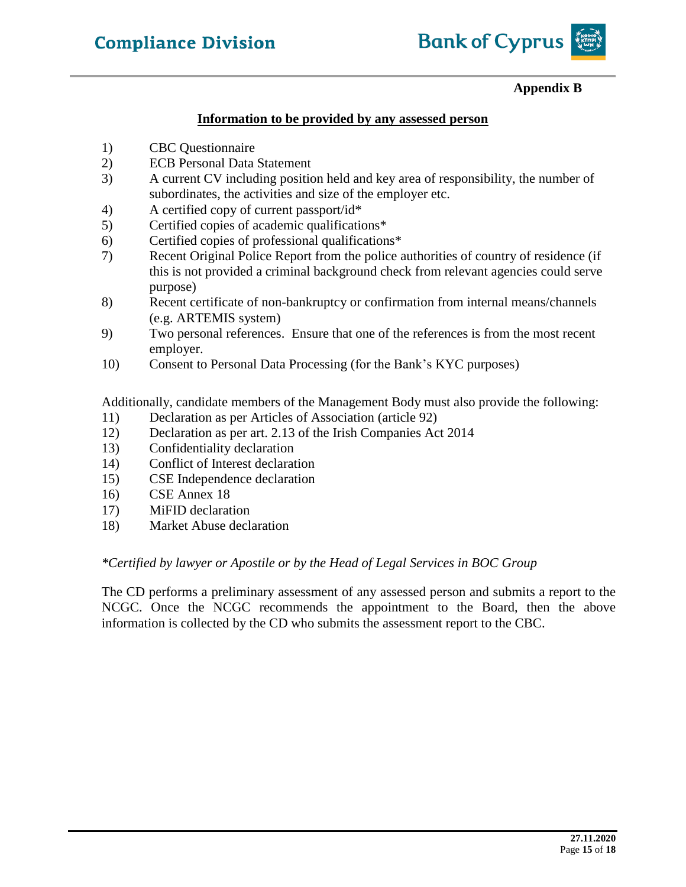

## **Appendix B**

#### **Information to be provided by any assessed person**

- 1) CBC Questionnaire
- 2) ECB Personal Data Statement
- 3) A current CV including position held and key area of responsibility, the number of subordinates, the activities and size of the employer etc.
- 4) A certified copy of current passport/id\*
- 5) Certified copies of academic qualifications\*
- 6) Certified copies of professional qualifications\*
- 7) Recent Original Police Report from the police authorities of country of residence (if this is not provided a criminal background check from relevant agencies could serve purpose)
- 8) Recent certificate of non-bankruptcy or confirmation from internal means/channels (e.g. ARTEMIS system)
- 9) Two personal references. Ensure that one of the references is from the most recent employer.
- 10) Consent to Personal Data Processing (for the Bank's KYC purposes)

Additionally, candidate members of the Management Body must also provide the following:

- 11) Declaration as per Articles of Association (article 92)
- 12) Declaration as per art. 2.13 of the Irish Companies Act 2014
- 13) Confidentiality declaration
- 14) Conflict of Interest declaration
- 15) CSE Independence declaration
- 16) CSE Annex 18
- 17) MiFID declaration
- 18) Market Abuse declaration

#### *\*Certified by lawyer or Apostile or by the Head of Legal Services in BOC Group*

The CD performs a preliminary assessment of any assessed person and submits a report to the NCGC. Once the NCGC recommends the appointment to the Board, then the above information is collected by the CD who submits the assessment report to the CBC.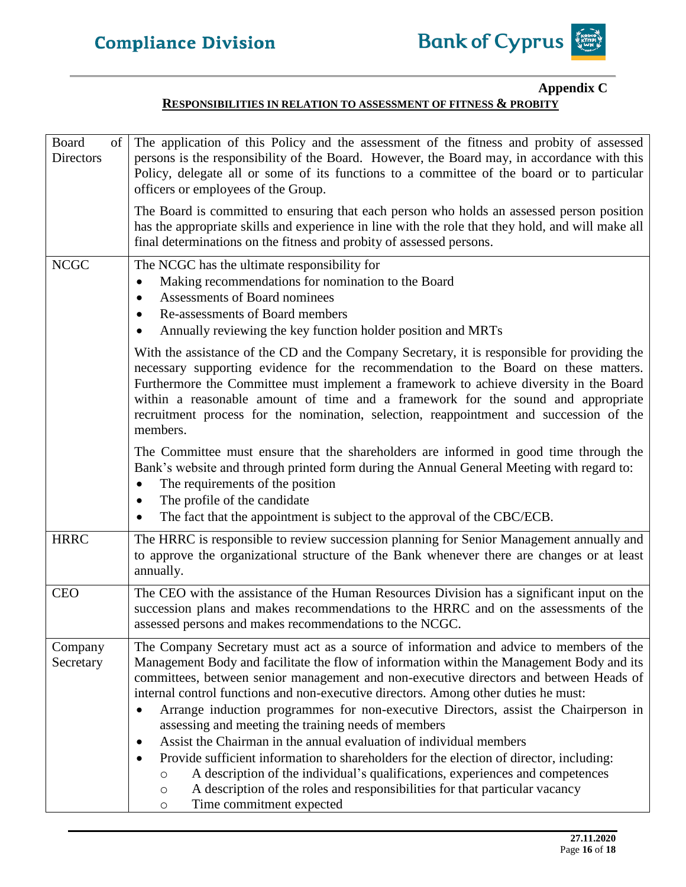

## **Appendix C**

#### **RESPONSIBILITIES IN RELATION TO ASSESSMENT OF FITNESS & PROBITY**

| Board<br>of<br>Directors | The application of this Policy and the assessment of the fitness and probity of assessed<br>persons is the responsibility of the Board. However, the Board may, in accordance with this<br>Policy, delegate all or some of its functions to a committee of the board or to particular<br>officers or employees of the Group.<br>The Board is committed to ensuring that each person who holds an assessed person position<br>has the appropriate skills and experience in line with the role that they hold, and will make all<br>final determinations on the fitness and probity of assessed persons.                                                                                                                                                                                                                                                                                                          |
|--------------------------|-----------------------------------------------------------------------------------------------------------------------------------------------------------------------------------------------------------------------------------------------------------------------------------------------------------------------------------------------------------------------------------------------------------------------------------------------------------------------------------------------------------------------------------------------------------------------------------------------------------------------------------------------------------------------------------------------------------------------------------------------------------------------------------------------------------------------------------------------------------------------------------------------------------------|
| <b>NCGC</b>              | The NCGC has the ultimate responsibility for<br>Making recommendations for nomination to the Board<br>$\bullet$<br>Assessments of Board nominees<br>$\bullet$<br>Re-assessments of Board members<br>$\bullet$                                                                                                                                                                                                                                                                                                                                                                                                                                                                                                                                                                                                                                                                                                   |
|                          | Annually reviewing the key function holder position and MRTs<br>With the assistance of the CD and the Company Secretary, it is responsible for providing the<br>necessary supporting evidence for the recommendation to the Board on these matters.<br>Furthermore the Committee must implement a framework to achieve diversity in the Board<br>within a reasonable amount of time and a framework for the sound and appropriate<br>recruitment process for the nomination, selection, reappointment and succession of the<br>members.                                                                                                                                                                                                                                                                                                                                                                         |
|                          | The Committee must ensure that the shareholders are informed in good time through the<br>Bank's website and through printed form during the Annual General Meeting with regard to:<br>The requirements of the position<br>The profile of the candidate<br>٠<br>The fact that the appointment is subject to the approval of the CBC/ECB.                                                                                                                                                                                                                                                                                                                                                                                                                                                                                                                                                                         |
| <b>HRRC</b>              | The HRRC is responsible to review succession planning for Senior Management annually and<br>to approve the organizational structure of the Bank whenever there are changes or at least<br>annually.                                                                                                                                                                                                                                                                                                                                                                                                                                                                                                                                                                                                                                                                                                             |
| <b>CEO</b>               | The CEO with the assistance of the Human Resources Division has a significant input on the<br>succession plans and makes recommendations to the HRRC and on the assessments of the<br>assessed persons and makes recommendations to the NCGC.                                                                                                                                                                                                                                                                                                                                                                                                                                                                                                                                                                                                                                                                   |
| Company<br>Secretary     | The Company Secretary must act as a source of information and advice to members of the<br>Management Body and facilitate the flow of information within the Management Body and its<br>committees, between senior management and non-executive directors and between Heads of<br>internal control functions and non-executive directors. Among other duties he must:<br>Arrange induction programmes for non-executive Directors, assist the Chairperson in<br>assessing and meeting the training needs of members<br>Assist the Chairman in the annual evaluation of individual members<br>٠<br>Provide sufficient information to shareholders for the election of director, including:<br>A description of the individual's qualifications, experiences and competences<br>$\circ$<br>A description of the roles and responsibilities for that particular vacancy<br>$\circ$<br>Time commitment expected<br>O |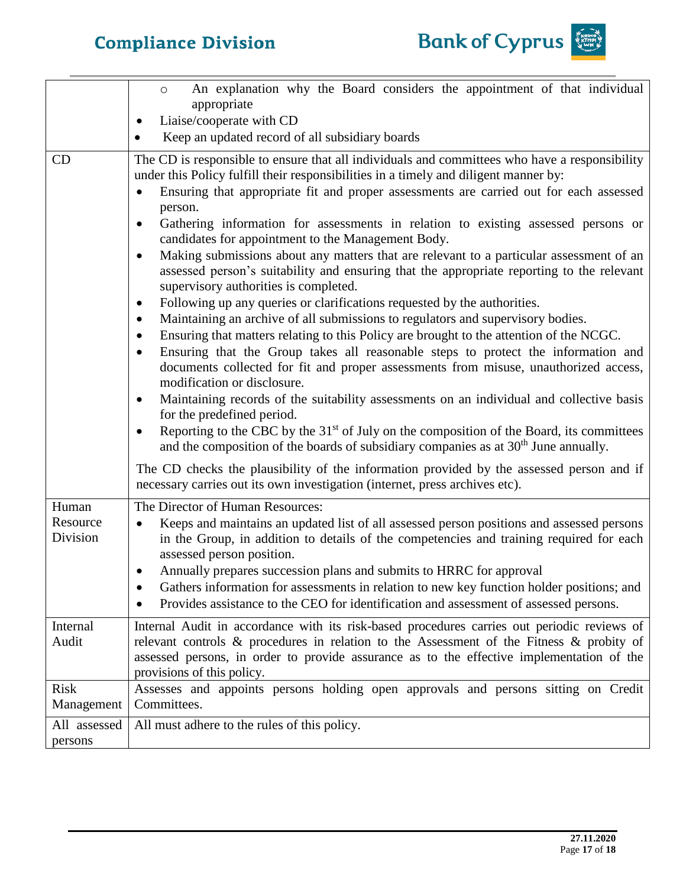

|                         | An explanation why the Board considers the appointment of that individual<br>$\circ$<br>appropriate                                                                                                                                                                                                                                                                                                                                                                                                                                                                                                                                                                                                                                                                                                                                                                                                                                                                                                                                                                                                                                                                                                                                                                                                                                                                                                                                                                                                                                                                                                                                                                                                                                                        |
|-------------------------|------------------------------------------------------------------------------------------------------------------------------------------------------------------------------------------------------------------------------------------------------------------------------------------------------------------------------------------------------------------------------------------------------------------------------------------------------------------------------------------------------------------------------------------------------------------------------------------------------------------------------------------------------------------------------------------------------------------------------------------------------------------------------------------------------------------------------------------------------------------------------------------------------------------------------------------------------------------------------------------------------------------------------------------------------------------------------------------------------------------------------------------------------------------------------------------------------------------------------------------------------------------------------------------------------------------------------------------------------------------------------------------------------------------------------------------------------------------------------------------------------------------------------------------------------------------------------------------------------------------------------------------------------------------------------------------------------------------------------------------------------------|
|                         | Liaise/cooperate with CD                                                                                                                                                                                                                                                                                                                                                                                                                                                                                                                                                                                                                                                                                                                                                                                                                                                                                                                                                                                                                                                                                                                                                                                                                                                                                                                                                                                                                                                                                                                                                                                                                                                                                                                                   |
|                         | Keep an updated record of all subsidiary boards                                                                                                                                                                                                                                                                                                                                                                                                                                                                                                                                                                                                                                                                                                                                                                                                                                                                                                                                                                                                                                                                                                                                                                                                                                                                                                                                                                                                                                                                                                                                                                                                                                                                                                            |
| CD                      | The CD is responsible to ensure that all individuals and committees who have a responsibility<br>under this Policy fulfill their responsibilities in a timely and diligent manner by:<br>Ensuring that appropriate fit and proper assessments are carried out for each assessed<br>person.<br>Gathering information for assessments in relation to existing assessed persons or<br>$\bullet$<br>candidates for appointment to the Management Body.<br>Making submissions about any matters that are relevant to a particular assessment of an<br>$\bullet$<br>assessed person's suitability and ensuring that the appropriate reporting to the relevant<br>supervisory authorities is completed.<br>Following up any queries or clarifications requested by the authorities.<br>$\bullet$<br>Maintaining an archive of all submissions to regulators and supervisory bodies.<br>$\bullet$<br>Ensuring that matters relating to this Policy are brought to the attention of the NCGC.<br>$\bullet$<br>Ensuring that the Group takes all reasonable steps to protect the information and<br>$\bullet$<br>documents collected for fit and proper assessments from misuse, unauthorized access,<br>modification or disclosure.<br>Maintaining records of the suitability assessments on an individual and collective basis<br>$\bullet$<br>for the predefined period.<br>Reporting to the CBC by the 31 <sup>st</sup> of July on the composition of the Board, its committees<br>$\bullet$<br>and the composition of the boards of subsidiary companies as at $30th$ June annually.<br>The CD checks the plausibility of the information provided by the assessed person and if<br>necessary carries out its own investigation (internet, press archives etc). |
| Human                   | The Director of Human Resources:                                                                                                                                                                                                                                                                                                                                                                                                                                                                                                                                                                                                                                                                                                                                                                                                                                                                                                                                                                                                                                                                                                                                                                                                                                                                                                                                                                                                                                                                                                                                                                                                                                                                                                                           |
| Resource<br>Division    | Keeps and maintains an updated list of all assessed person positions and assessed persons<br>$\bullet$<br>in the Group, in addition to details of the competencies and training required for each<br>assessed person position.                                                                                                                                                                                                                                                                                                                                                                                                                                                                                                                                                                                                                                                                                                                                                                                                                                                                                                                                                                                                                                                                                                                                                                                                                                                                                                                                                                                                                                                                                                                             |
|                         | Annually prepares succession plans and submits to HRRC for approval<br>$\bullet$<br>Gathers information for assessments in relation to new key function holder positions; and<br>Provides assistance to the CEO for identification and assessment of assessed persons.                                                                                                                                                                                                                                                                                                                                                                                                                                                                                                                                                                                                                                                                                                                                                                                                                                                                                                                                                                                                                                                                                                                                                                                                                                                                                                                                                                                                                                                                                     |
| Internal                | Internal Audit in accordance with its risk-based procedures carries out periodic reviews of                                                                                                                                                                                                                                                                                                                                                                                                                                                                                                                                                                                                                                                                                                                                                                                                                                                                                                                                                                                                                                                                                                                                                                                                                                                                                                                                                                                                                                                                                                                                                                                                                                                                |
| Audit                   | relevant controls & procedures in relation to the Assessment of the Fitness & probity of<br>assessed persons, in order to provide assurance as to the effective implementation of the<br>provisions of this policy.                                                                                                                                                                                                                                                                                                                                                                                                                                                                                                                                                                                                                                                                                                                                                                                                                                                                                                                                                                                                                                                                                                                                                                                                                                                                                                                                                                                                                                                                                                                                        |
| Risk<br>Management      | Assesses and appoints persons holding open approvals and persons sitting on Credit<br>Committees.                                                                                                                                                                                                                                                                                                                                                                                                                                                                                                                                                                                                                                                                                                                                                                                                                                                                                                                                                                                                                                                                                                                                                                                                                                                                                                                                                                                                                                                                                                                                                                                                                                                          |
| All assessed<br>persons | All must adhere to the rules of this policy.                                                                                                                                                                                                                                                                                                                                                                                                                                                                                                                                                                                                                                                                                                                                                                                                                                                                                                                                                                                                                                                                                                                                                                                                                                                                                                                                                                                                                                                                                                                                                                                                                                                                                                               |